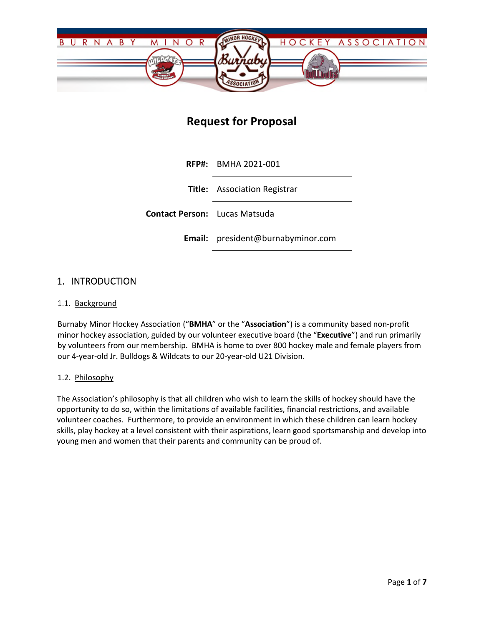

# **Request for Proposal**

**RFP#:** BMHA 2021-001 **Title:** Association Registrar **Contact Person:** Lucas Matsuda **Email:** president@burnabyminor.com

### 1. INTRODUCTION

#### 1.1. Background

Burnaby Minor Hockey Association ("**BMHA**" or the "**Association**") is a community based non-profit minor hockey association, guided by our volunteer executive board (the "**Executive**") and run primarily by volunteers from our membership. BMHA is home to over 800 hockey male and female players from our 4-year-old Jr. Bulldogs & Wildcats to our 20-year-old U21 Division.

#### 1.2. Philosophy

The Association's philosophy is that all children who wish to learn the skills of hockey should have the opportunity to do so, within the limitations of available facilities, financial restrictions, and available volunteer coaches. Furthermore, to provide an environment in which these children can learn hockey skills, play hockey at a level consistent with their aspirations, learn good sportsmanship and develop into young men and women that their parents and community can be proud of.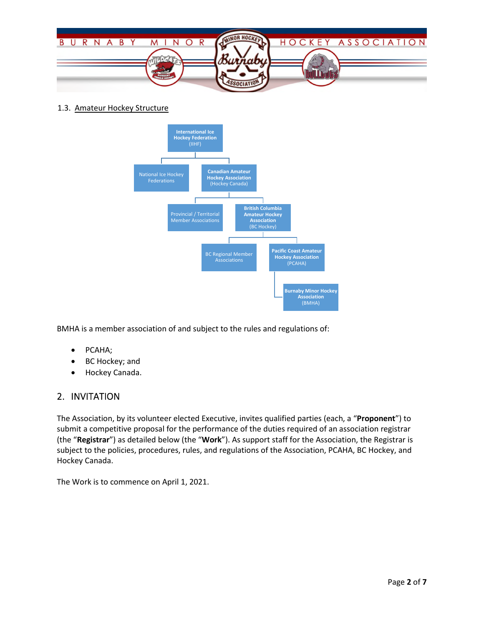

1.3. Amateur Hockey Structure



BMHA is a member association of and subject to the rules and regulations of:

- PCAHA;
- BC Hockey; and
- Hockey Canada.

# 2. INVITATION

The Association, by its volunteer elected Executive, invites qualified parties (each, a "**Proponent**") to submit a competitive proposal for the performance of the duties required of an association registrar (the "**Registrar**") as detailed below (the "**Work**"). As support staff for the Association, the Registrar is subject to the policies, procedures, rules, and regulations of the Association, PCAHA, BC Hockey, and Hockey Canada.

The Work is to commence on April 1, 2021.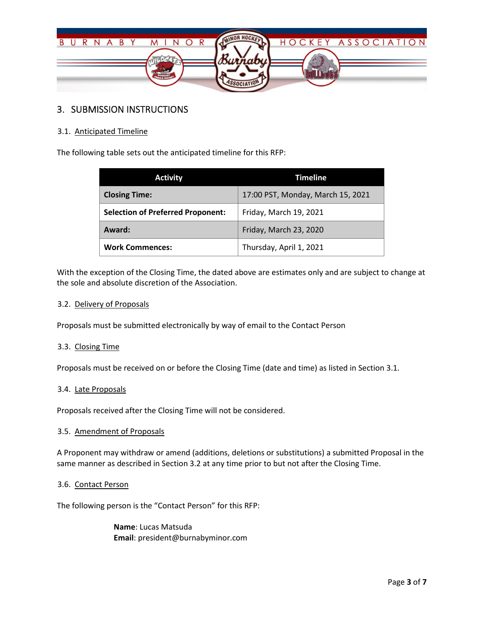

# 3. SUBMISSION INSTRUCTIONS

#### 3.1. Anticipated Timeline

The following table sets out the anticipated timeline for this RFP:

| <b>Activity</b>                          | <b>Timeline</b>                   |
|------------------------------------------|-----------------------------------|
| <b>Closing Time:</b>                     | 17:00 PST, Monday, March 15, 2021 |
| <b>Selection of Preferred Proponent:</b> | Friday, March 19, 2021            |
| Award:                                   | Friday, March 23, 2020            |
| <b>Work Commences:</b>                   | Thursday, April 1, 2021           |

With the exception of the Closing Time, the dated above are estimates only and are subject to change at the sole and absolute discretion of the Association.

#### 3.2. Delivery of Proposals

Proposals must be submitted electronically by way of email to the Contact Person

#### 3.3. Closing Time

Proposals must be received on or before the Closing Time (date and time) as listed in Section 3.1.

#### 3.4. Late Proposals

Proposals received after the Closing Time will not be considered.

#### 3.5. Amendment of Proposals

A Proponent may withdraw or amend (additions, deletions or substitutions) a submitted Proposal in the same manner as described in Section 3.2 at any time prior to but not after the Closing Time.

#### 3.6. Contact Person

The following person is the "Contact Person" for this RFP:

**Name**: Lucas Matsuda **Email**: president@burnabyminor.com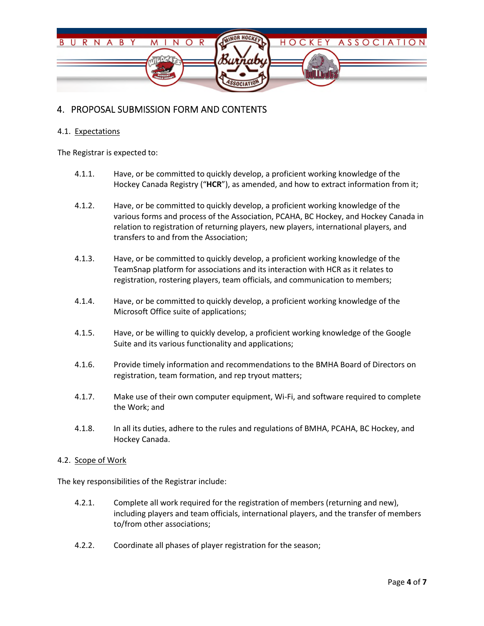

# 4. PROPOSAL SUBMISSION FORM AND CONTENTS

#### 4.1. Expectations

The Registrar is expected to:

- 4.1.1. Have, or be committed to quickly develop, a proficient working knowledge of the Hockey Canada Registry ("**HCR**"), as amended, and how to extract information from it;
- 4.1.2. Have, or be committed to quickly develop, a proficient working knowledge of the various forms and process of the Association, PCAHA, BC Hockey, and Hockey Canada in relation to registration of returning players, new players, international players, and transfers to and from the Association;
- 4.1.3. Have, or be committed to quickly develop, a proficient working knowledge of the TeamSnap platform for associations and its interaction with HCR as it relates to registration, rostering players, team officials, and communication to members;
- 4.1.4. Have, or be committed to quickly develop, a proficient working knowledge of the Microsoft Office suite of applications;
- 4.1.5. Have, or be willing to quickly develop, a proficient working knowledge of the Google Suite and its various functionality and applications;
- 4.1.6. Provide timely information and recommendations to the BMHA Board of Directors on registration, team formation, and rep tryout matters;
- 4.1.7. Make use of their own computer equipment, Wi-Fi, and software required to complete the Work; and
- 4.1.8. In all its duties, adhere to the rules and regulations of BMHA, PCAHA, BC Hockey, and Hockey Canada.

#### 4.2. Scope of Work

The key responsibilities of the Registrar include:

- 4.2.1. Complete all work required for the registration of members (returning and new), including players and team officials, international players, and the transfer of members to/from other associations;
- 4.2.2. Coordinate all phases of player registration for the season;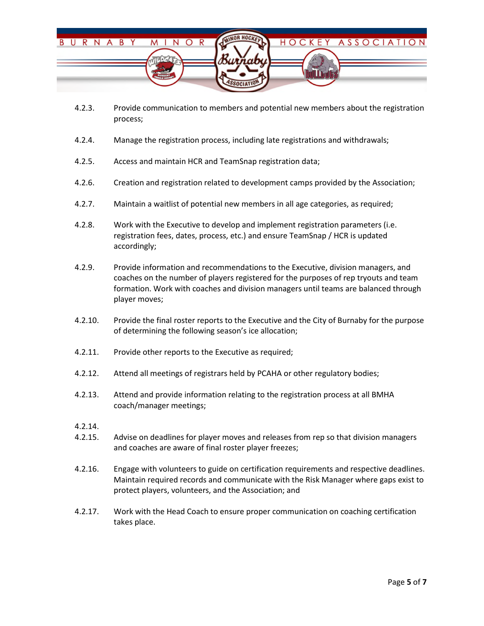

- 4.2.3. Provide communication to members and potential new members about the registration process;
- 4.2.4. Manage the registration process, including late registrations and withdrawals;
- 4.2.5. Access and maintain HCR and TeamSnap registration data;
- 4.2.6. Creation and registration related to development camps provided by the Association;
- 4.2.7. Maintain a waitlist of potential new members in all age categories, as required;
- 4.2.8. Work with the Executive to develop and implement registration parameters (i.e. registration fees, dates, process, etc.) and ensure TeamSnap / HCR is updated accordingly;
- 4.2.9. Provide information and recommendations to the Executive, division managers, and coaches on the number of players registered for the purposes of rep tryouts and team formation. Work with coaches and division managers until teams are balanced through player moves;
- 4.2.10. Provide the final roster reports to the Executive and the City of Burnaby for the purpose of determining the following season's ice allocation;
- 4.2.11. Provide other reports to the Executive as required;
- 4.2.12. Attend all meetings of registrars held by PCAHA or other regulatory bodies;
- 4.2.13. Attend and provide information relating to the registration process at all BMHA coach/manager meetings;
- 4.2.14.
- 4.2.15. Advise on deadlines for player moves and releases from rep so that division managers and coaches are aware of final roster player freezes;
- 4.2.16. Engage with volunteers to guide on certification requirements and respective deadlines. Maintain required records and communicate with the Risk Manager where gaps exist to protect players, volunteers, and the Association; and
- 4.2.17. Work with the Head Coach to ensure proper communication on coaching certification takes place.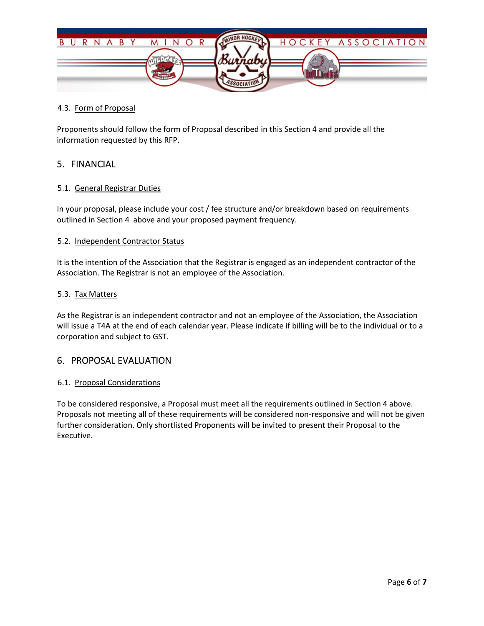

#### 4.3. Form of Proposal

Proponents should follow the form of Proposal described in this Section 4 and provide all the information requested by this RFP.

### 5. FINANCIAL

#### 5.1. General Registrar Duties

In your proposal, please include your cost / fee structure and/or breakdown based on requirements outlined in Section 4 above and your proposed payment frequency.

#### 5.2. Independent Contractor Status

It is the intention of the Association that the Registrar is engaged as an independent contractor of the Association. The Registrar is not an employee of the Association.

#### 5.3. Tax Matters

As the Registrar is an independent contractor and not an employee of the Association, the Association will issue a T4A at the end of each calendar year. Please indicate if billing will be to the individual or to a corporation and subject to GST.

### 6. PROPOSAL EVALUATION

#### 6.1. Proposal Considerations

To be considered responsive, a Proposal must meet all the requirements outlined in Section 4 above. Proposals not meeting all of these requirements will be considered non-responsive and will not be given further consideration. Only shortlisted Proponents will be invited to present their Proposal to the Executive.